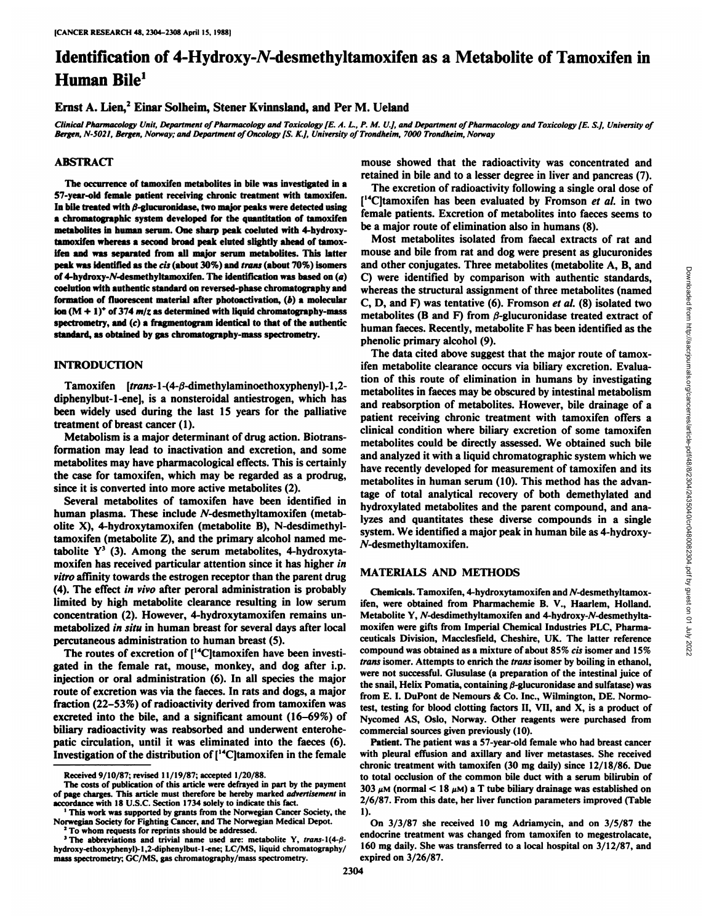# Identification of 4-Hydroxy-N-desmethyltamoxifen as a Metabolite of Tamoxifen in Human Bile<sup>1</sup>

### Ernst A. Lien,<sup>2</sup> Einar Solheim, Stener Kvinnsland, and Per M. Ueland

Clinical Pharmacology Unit, Department of Pharmacology and Toxicology [E. A. L., P. M. U.], and Department of Pharmacology and Toxicology [E. S.], University of *Bergen, N-5021, Bergen, Norway; and Department of Oncology [S.K.j, University ofTrondheim, 7000 Trondheim, Norway*

#### ABSTRACT

The occurrence of tamoxifen metabolites in bile was investigated in a 57-year-old female patient receiving chronic treatment with tamoxifen. In bile treated with  $\beta$ -glucuronidase, two major peaks were detected using a Chromatographie system developed for the quantitation of tamoxifen metabolites in human serum. One sharp peak coeluted with 4-hydroxytamoxifen whereas a second broad peak eluted slightly ahead of tamox ifen and was separated from all major serum metabolites. This latter peak was identified as the cis (about 30%) and trans (about 70%) isomers of 4-hydroxy-A/-desmethyltamoxifen. The identification was based on (a) coelution with authentic standard on reversed-phase chromatography and formation of fluorescent material after photoactivation, (b) a molecular ion  $(M + 1)^+$  of 374 m/z as determined with liquid chromatography-mass spectrometry, and (c) a fragmentogram identical to that of the authentic standard, as obtained by gas chromatography-mass spectrometry.

# INTRODUCTION

Tamoxifen [trans-1- $(4-\beta$ -dimethylaminoethoxyphenyl)-1,2diphenylbut-1-ene], is a nonsteroidal antiestrogen, which has been widely used during the last 15 years for the palliative treatment of breast cancer (1).

Metabolism is a major determinant of drug action. Biotrans formation may lead to inactivation and excretion, and some metabolites may have pharmacological effects. This is certainly the case for tamoxifen, which may be regarded as a prodrug, since it is converted into more active metabolites (2).

Several metabolites of tamoxifen have been identified in human plasma. These include  $N$ -desmethyltamoxifen (metabolite X), 4-hydroxytamoxifen (metabolite B), N-desdimethyltamoxifen (metabolite Z), and the primary alcohol named me tabolite  $Y^3$  (3). Among the serum metabolites, 4-hydroxytamoxifen has received particular attention since it has higher in *vitro affinity towards the estrogen receptor than the parent drug* (4). The effect in vivo after peroral administration is probably limited by high metabolite clearance resulting in low serum concentration (2). However, 4-hydroxytamoxifen remains un metabolized in situ in human breast for several days after local

percutaneous administration to human breast (5).<br>The routes of excretion of [<sup>14</sup>C]tamoxifen have been investigated in the female rat, mouse, monkey, and dog after i.p. injection or oral administration (6). In all species the major route of excretion was via the faeces. In rats and dogs, a major fraction (22-53%) of radioactivity derived from tamoxifen was excreted into the bile, and a significant amount (16-69%) of biliary radioactivity was reabsorbed and underwent enterohepatic circulation, until it was eliminated into the faeces  $(6)$ .<br>Investigation of the distribution of  $[{}^{14}C]$ tamoxifen in the female mouse showed that the radioactivity was concentrated and retained in bile and to a lesser degree in liver and pancreas (7).

The excretion of radioactivity following a single oral dose of  $[14C]$ tamoxifen has been evaluated by Fromson et al. in two female patients. Excretion of metabolites into faeces seems to be a major route of elimination also in humans (8).

Most metabolites isolated from faecal extracts of rat and mouse and bile from rat and dog were present as glucuronides C) were identified by comparison with authentic standards, whereas the structural assignment of three metabolites (named C, D, and F) was tentative (6). Fromson et al. (8) isolated two metabolites (B and F) from  $\beta$ -glucuronidase treated extract of human faeces. Recently, metabolite F has been identified as the phenolic primary alcohol (9).

and other conjugates. Three metabolites (metabolite A, B, and C) were identified by comparison with authentic standards, whereas the structural assignment of three metabolites (named C, D, and F) was tentative (6). Fromso The data cited above suggest that the major route of tamox ifen metabolite clearance occurs via biliary excretion. Evalua tion of this route of elimination in humans by investigating metabolites in faeces may be obscured by intestinal metabolism and reabsorption of metabolites. However, bile drainage of a patient receiving chronic treatment with tamoxifen offers a clinical condition where biliary excretion of some tamoxifen metabolites could be directly assessed. We obtained such bile and analyzed it with a liquid Chromatographie system which we have recently developed for measurement of tamoxifen and its metabolites in human serum (10). This method has the advan tage of total analytical recovery of both demethylated and hydroxylated metabolites and the parent compound, and ana lyzes and quantitates these diverse compounds in a single system. We identified a major peak in human bile as 4-hydroxy- /V-desmethy Itamoxifen.

#### MATERIALS AND METHODS

Chemicals. Tamoxifen, 4-hydroxytamoxifen and A'-desmethyltamoxifen, were obtained from Pharmachemie B. V., Haarlem, Holland. Metabolite Y, A'-desdimethyltamoxifen and 4-hydroxy-A'-desmethyltamoxifen were gifts from Imperial Chemical Industries PLC, Pharma ceuticals Division, Macclesfield, Cheshire, UK. The latter reference compound was obtained as a mixture of about 85% cis isomer and 15% *trans isomer. Attempts to enrich the trans isomer by boiling in ethanol,* were not successful. Glusulase (a preparation of the intestinal juice of the snail, Helix Pomatia, containing  $\beta$ -glucuronidase and sulfatase) was from E. I. DuPont de Nemours & Co. Inc., Wilmington, DE. Normotest, testing for blood clotting factors II, VII, and X, is a product of Nycomed AS, Oslo, Norway. Other reagents were purchased from commercial sources given previously (10).

Patient. The patient was a 57-year-old female who had breast cancer with pleural effusion and axillary and liver metastases. She received chronic treatment with tamoxifen (30 mg daily) since 12/18/86. Due to total occlusion of the common bile duct with a serum bilirubin of 303  $\mu$ M (normal < 18  $\mu$ M) a T tube biliary drainage was established on 2/6/87. From this date, her liver function parameters improved (Table 1).

Received 9/10/87; revised 11/19/87; accepted 1/20/88.

The costs of publication of this article were defrayed in part by the payment of page charges. This article must therefore be hereby marked advertisement in accordance with 18 U.S.C. Section 1734 solely to indicate this fact.

<sup>&</sup>lt;sup>1</sup> This work was supported by grants from the Norwegian Cancer Society, the Norwegian Society for Fighting Cancer, and The Norwegian Medical Depot. *2To whom requests for reprints should be addressed.*

<sup>&</sup>lt;sup>3</sup> The abbreviations and trivial name used are: metabolite Y, trans-1(4- $\beta$ hydroxy-ethoxyphenyl)-l,2-diphenylbut-l-ene; LC/MS, liquid chromatography/ mass spectrometry; GC/MS, gas chromatography/mass spectrometry.

On 3/3/87 she received 10 mg Adriamycin, and on 3/5/87 the endocrine treatment was changed from tamoxifen to megestrolacate, 160 mg daily. She was transferred to a local hospital on 3/12/87, and expired on 3/26/87.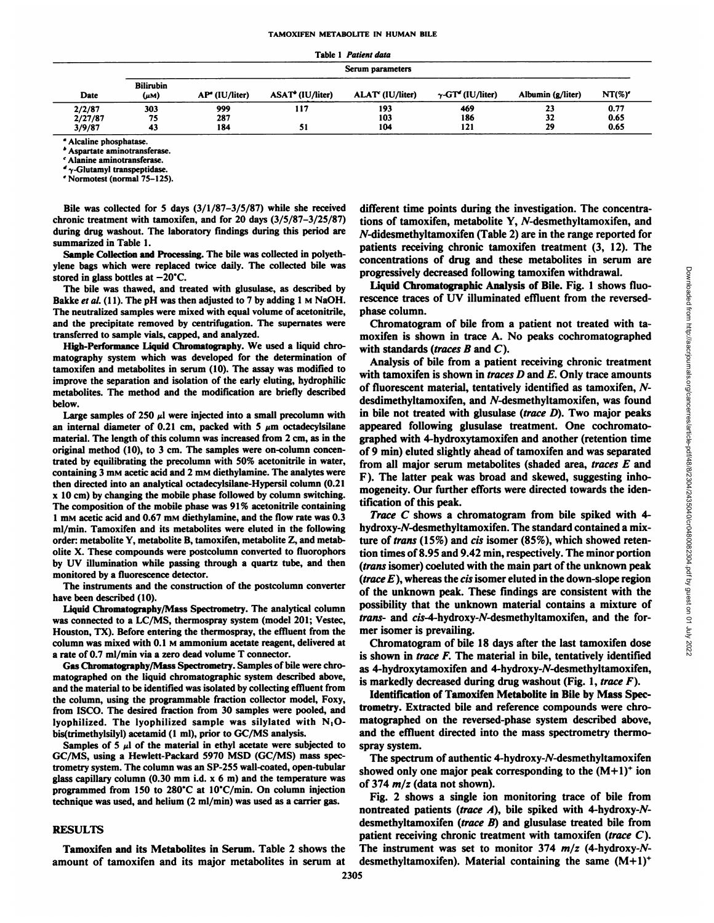|                             |                               |                            |                              | Table 1 Patient data |                                      |                   |                      |  |  |  |  |  |
|-----------------------------|-------------------------------|----------------------------|------------------------------|----------------------|--------------------------------------|-------------------|----------------------|--|--|--|--|--|
|                             |                               |                            |                              | Serum parameters     |                                      |                   |                      |  |  |  |  |  |
| Date                        | <b>Bilirubin</b><br>$(\mu M)$ | AP <sup>a</sup> (IU/liter) | ASAT <sup>+</sup> (IU/liter) | ALAT' (IU/liter)     | $\gamma$ -GT <sup>o</sup> (IU/liter) | Albumin (g/liter) | $NT(\%)'$            |  |  |  |  |  |
| 2/2/87<br>2/27/87<br>3/9/87 | 303<br>75<br>43               | 999<br>287<br>184          | 117<br>51                    | 193<br>103<br>104    | 469<br>186<br>121                    | 23<br>32<br>29    | 0.77<br>0.65<br>0.65 |  |  |  |  |  |

" Alcaline phosphatase.

\* Aspartate aminotransferase.

' Alanine aminotransferase.

 $\gamma$ -Glutamyl transpeptidase. ' Normotest (normal 75-125).

Bile was collected for 5 days (3/1/87-3/5/87) while she received chronic treatment with tamoxifen, and for 20 days (3/5/87-3/25/87) during drug washout. The laboratory findings during this period are summarized in Table 1.

Sample Collection and Processing. The bile was collected in polyeth ylene bags which were replaced twice daily. The collected bile was stored in glass bottles at  $-20^{\circ}$ C.

The bile was thawed, and treated with glusulase, as described by Bakke et al. (11). The pH was then adjusted to 7 by adding 1 M NaOH. The neutralized samples were mixed with equal volume of acetonitrile, and the precipitate removed by centrifugation. The supernates were

transferred to sample vials, capped, and analyzed. High-Performance Liquid Chromatograph)-. We used <sup>a</sup> liquid chromatography system which was developed for the determination of tamoxifen and metabolites in serum (10). The assay was modified to improve the separation and isolation of the early eluting, hydrophilic metabolites. The method and the modification are briefly described below.

Large samples of 250  $\mu$ l were injected into a small precolumn with an internal diameter of 0.21 cm, packed with 5  $\mu$ m octadecylsilane material. The length of this column was increased from 2 cm, as in the original method (10), to 3 cm. The samples were on-column concen trated by equilibrating the precolumn with 50% acetonitrile in water, containing 3 mM acetic acid and 2 mM diethylamine. The analytes were then directed into an analytical octadecylsilane-Hypersil column (0.21 x 10 cm) by changing the mobile phase followed by column switching. The composition of the mobile phase was 91% acetonitrile containing 1 mM acetic acid and 0.67 mM diethylamine, and the flow rate was 0.3 ml/min. Tamoxifen and its metabolites were eluted in the following order: metabolite Y, metabolite B, tamoxifen, metabolite Z, and metabolite X.These compounds were postcolumn converted to fluorophors by UV illumination while passing through a quartz tube, and then monitored by a fluorescence detector.

The instruments and the construction of the postcolumn converter have been described (10).

Liquid Chromatography/Mass Spectrometry. The analytical column was connected to a LC/MS, thermospray system (model 201; Vestec, Houston, TX). Before entering the thermospray, the effluent from the column was mixed with 0.1 M ammonium acetate reagent, delivered at a rate of 0.7 ml/min via a zero dead volume T connector.

Gas Chromatography/Mass Spectrometry. Samples of bile were chromatographed on the liquid Chromatographie system described above, and the material to be identified was isolated by collecting effluent from the column, using the programmable fraction collector model, Foxy, from ISCO. The desired fraction from 30 samples were pooled, and lyophilized. The lyophilized sample was silylated with  $N_1O$ bis(trimethylsilyl) acetamid (1 ml), prior to GC/MS analysis.

Samples of 5  $\mu$ l of the material in ethyl acetate were subjected to spray system. GC/MS, using a Hewlett-Packard 5970 MSD (GC/MS) mass spectrometry system. The column was an SP-255 wall-coated, open-tubular glass capillary column (0.30 mm i.d.  $x$  6 m) and the temperature was programmed from 150 to 280°C at 10°C/min. On column injection technique was used, and helium (2 ml/min) was used as a carrier gas.

#### **RESULTS**

Tamoxifen and its Metabolites in Serum. Table 2 shows the amount of tamoxifen and its major metabolites in serum at different time points during the investigation. The concentra tions of tamoxifen, metabolite Y, A'-desmethyltamoxifen, and  $N$ -didesmethyltamoxifen (Table 2) are in the range reported for patients receiving chronic tamoxifen treatment (3, 12). The progressively decreased following tamoxifen withdrawal.

Liquid Chromatographie Analysis of Bile. Fig. 1 shows fluo rescence traces of UV illuminated effluent from the reversedphase column.

Chromatogram of bile from a patient not treated with ta moxifen is shown in trace A. No peaks cochromatographed with standards (traces  $B$  and  $C$ ).

concentrations of drug and these metabolites in serum are<br>
progressively decreased following tamoxiem unit area in the concentrations of<br>
Equid Chromatographic Analysis of Bile. Fig. 1 shows fluo-<br>
phase column.<br>
Chromato Analysis of bile from a patient receiving chronic treatment with tamoxifen is shown in *traces D* and  $E$ . Only trace amounts of fluorescent material, tentatively identified as tamoxifen, Ndesdimethyltamoxifen, and N-desmethyltamoxifen, was found in bile not treated with glusulase (*trace D*). Two major peaks appeared following glusulase treatment. One cochromato graphed with 4-hydroxytamoxifen and another (retention time of 9 min) eluted slightly ahead of tamoxifen and was separated from all major serum metabolites (shaded area, traces E and F). The latter peak was broad and skewed, suggesting inhomogeneity. Our further efforts were directed towards the iden tification of this peak.

*Trace C shows a chromatogram from bile spiked with 4* hydroxy-W-desmethyltamoxifen. The standard contained a mix ture of *trans* (15%) and *cis* isomer (85%), which showed retention times of 8.95 and 9.42 min, respectively. The minor portion *(frans isomer) coeluted with the main part of the unknown peak (trace E),whereas the eis isomer eluted in the down-slope region* of the unknown peak. These findings are consistent with the possibility that the unknown material contains a mixture of *trans-* and *cis-4-hydroxy-N-desmethyltamoxifen,* and the former isomer is prevailing.

Chromatogram of bile 18 days after the last tamoxifen dose is shown in trace  $F$ . The material in bile, tentatively identified as 4-hydroxytamoxifen and 4-hydroxy-N-desmethyltamoxifen, is markedly decreased during drug washout (Fig. 1, trace  $F$ ).

Identification of Tamoxifen Metabolite in Bile by Mass Spec trometry. Extracted bile and reference compounds were chromatographed on the reversed-phase system described above, and the effluent directed into the mass spectrometry thermo-

The spectrum of authentic 4-hydroxy-N-desmethyltamoxifen showed only one major peak corresponding to the  $(M+1)^+$  ion of 374  $m/z$  (data not shown).

Fig. 2 shows a single ion monitoring trace of bile from nontreated patients (trace  $A$ ), bile spiked with 4-hydroxy-Ndesmethyltamoxifen (trace B) and glusulase treated bile from patient receiving chronic treatment with tamoxifen (trace  $C$ ). The instrument was set to monitor 374  $m/z$  (4-hydroxy-Ndesmethyltamoxifen). Material containing the same  $(M+1)^+$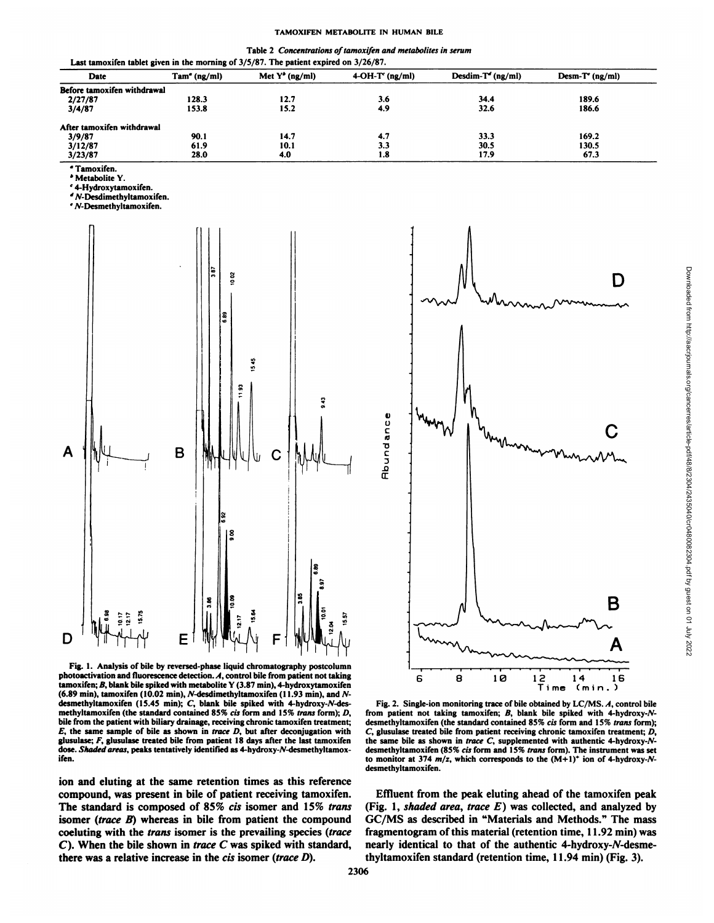| Table 2 Concentrations of tamoxifen and metabolites in serum          |  |
|-----------------------------------------------------------------------|--|
| tablet given in the morning of 3/5/87. The patient expired on 3/26/87 |  |

| Last tamvance tablet given in the morning or $J/J$ of . The patient explice on $J/J$ of $\tau$ . |                 |                           |                   |                     |                   |  |  |
|--------------------------------------------------------------------------------------------------|-----------------|---------------------------|-------------------|---------------------|-------------------|--|--|
| Date                                                                                             | $Tam^e$ (ng/ml) | Met $Y^{\bullet}$ (ng/ml) | $4-OH-T'$ (ng/ml) | $Desdim-T'$ (ng/ml) | $Desm-T'$ (ng/ml) |  |  |
| Before tamoxifen withdrawal                                                                      |                 |                           |                   |                     |                   |  |  |
| 2/27/87                                                                                          | 128.3           | 12.7                      | 3.6               | 34.4                | 189.6             |  |  |
| 3/4/87                                                                                           | 153.8           | 15.2                      | 4.9               | 32.6                | 186.6             |  |  |
| After tamoxifen withdrawal                                                                       |                 |                           |                   |                     |                   |  |  |
| 3/9/87                                                                                           | 90.1            | 14.7                      | 4.7               | 33.3                | 169.2             |  |  |
| 3/12/87                                                                                          | 61.9            | 10.1                      | 3.3               | 30.5                | 130.5             |  |  |
| 3/23/87                                                                                          | 28.0            | 4.0                       | 1.8               | 17.9                | 67.3              |  |  |
|                                                                                                  |                 |                           |                   |                     |                   |  |  |

°Tamoxifen.

' Metabolite Y.

' 4-Hydroxytamoxifen.

\*W-Desdimethyltamoxifen.

' yv-Desmethyltamoxifen.



Fig. I. Analysis of bile by reversed-phase liquid chromatography postcolumn photoactivation and fluorescence detection.  $A$ , control bile from patient not taking tamoxifen;  $B$ , blank bile spiked with metabolite Y (3.87 min), 4-hydroxytamoxifen (6.89 min), tamoxifen (10.02 min),  $N$ -desdimethyltamoxifen (11.93 min), and  $N$ desmethyltamoxifen (15.45 min); C, blank bile spiked with 4-hydroxy-N-desmethyltamoxifen (the standard contained 85% cis form and 15% trans form); D, bile from the patient with biliary drainage, receiving chronic tamoxifen treatment;  $E$ , the same sample of bile as shown in *trace D*, but after deconjugation with glusulase;  $F$ , glusulase treated bile from patient 18 days after the last tamoxifen dose. Shaded areas, peaks tentatively identified as 4-hydroxy-N-desmethyltamoxifen.

ion and eluting at the same retention times as this reference compound, was present in bile of patient receiving tamoxifen. The standard is composed of 85% cis isomer and 15% trans isomer (trace B) whereas in bile from patient the compound GC/MS as described in "Materials and Methods." The mass coeluting with the trans isomer is the prevailing species (trace *C). When the bile shown in trace C was spiked with standard,* there was a relative increase in the cis isomer (trace D).



Fig. 2. Single-ion monitoring trace of bile obtained by LC/MS. A, control bile from patient not taking tamoxifen;  $B$ , blank bile spiked with 4-hydroxy-Ndesmethyltamoxifen (the standard contained 85% cis form and 15% trans form); *C, glusulase treated bile from patient receiving chronic tamoxifen treatment; D,* the same bile as shown in trace C, supplemented with authentic 4-hydroxy- $N$ desmethyltamoxifen (85% cis form and 15% trans form). The instrument was set to monitor at 374  $m/z$ , which corresponds to the  $(M+1)^+$  ion of 4-hydroxy-Ndesmethyltamoxifen.

Effluent from the peak eluting ahead of the tamoxifen peak (Fig. 1, shaded area, trace  $E$ ) was collected, and analyzed by fragmentogram of this material (retention time, 11.92 min) was nearly identical to that of the authentic 4-hydroxy-N-desmethyltamoxifen standard (retention time, 11.94 min) (Fig. 3).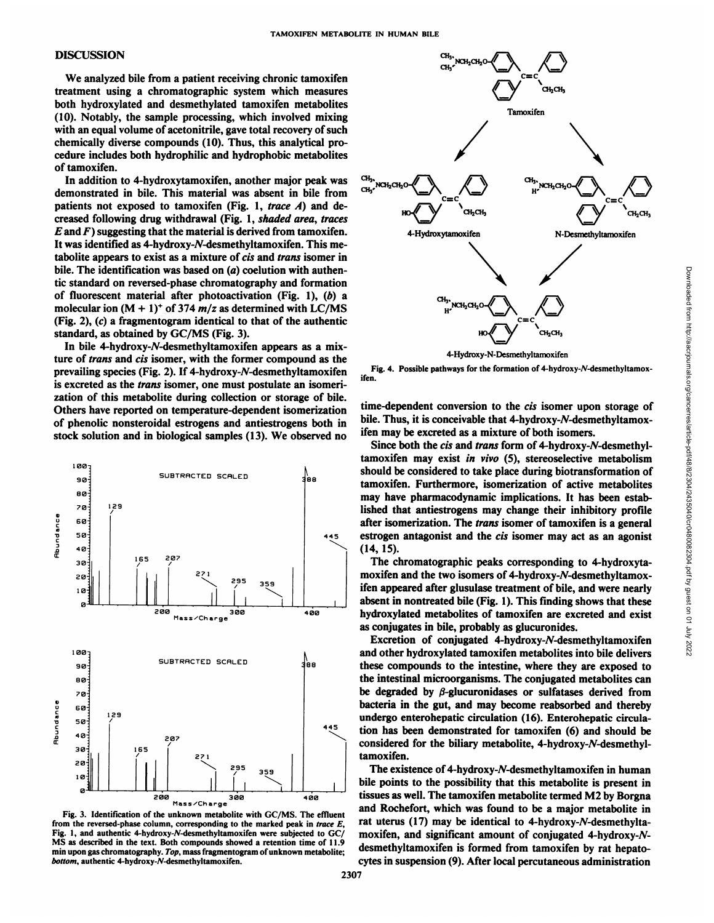#### DISCUSSION

We analyzed bile from a patient receiving chronic tamoxifen treatment using a Chromatographie system which measures both hydroxylated and desmethylated tamoxifen metabolites (10). Notably, the sample processing, which involved mixing with an equal volume of acetonitrile, gave total recovery of such chemically diverse compounds (10). Thus, this analytical pro cedure includes both hydrophilic and hydrophobic metabolites of tamoxifen.

In addition to 4-hydroxytamoxifen, another major peak was demonstrated in bile. This material was absent in bile from patients not exposed to tamoxifen (Fig. 1, trace  $A$ ) and decreased following drug withdrawal (Fig. 1, shaded area, traces *E* and *F*) suggesting that the material is derived from tamoxifen. It was identified as 4-hydroxy-N-desmethyltamoxifen. This metabolite appears to exist as a mixture of cis and trans isomer in bile. The identification was based on (a) coelution with authentic standard on reversed-phase chromatography and formation of fluorescent material after photoactivation (Fig. 1), (b) a molecular ion  $(M + 1)^+$  of 374 m/z as determined with LC/MS (Fig. 2), (c) a fragmentogram identical to that of the authentic standard, as obtained by GC/MS (Fig. 3).

In bile 4-hydroxy-N-desmethyltamoxifen appears as a mixture of trans and eis isomer, with the former compound as the prevailing species (Fig. 2). If 4-hydroxy-W-desmethyltamoxifen is excreted as the trans isomer, one must postulate an isomerization of this metabolite during collection or storage of bile. Others have reported on temperature-dependent isomerization of phenolic nonsteroidal estrogens and antiestrogens both in stock solution and in biological samples (13). We observed no



Fig. 3. Identification of the unknown metabolite with GC/MS. The effluent from the reversed-phase column, corresponding to the marked peak in trace  $E$ , Fig. 1, and authentic 4-hydroxy-A'-desmethyltamoxifen were subjected to GC/ MS as described in the text. Both compounds showed a retention time of 11.9 min upon gas chromatography. Top, mass fragmentogram of unknown metabolite; *bottom, authentic 4-hydroxy-/V-desmethyltamoxifen.*



4-Hydroxy-N-Desmethyltamoxifen

Fig. 4. Possible pathways for the formation of 4-hydroxy-A'-desmethyltamoxifen.

time-dependent conversion to the *cis* isomer upon storage of bile. Thus, it is conceivable that 4-hydroxy-N-desmethyltamoxifen may be excreted as a mixture of both isomers.

<sup>88</sup> tamoxifen. Furthermore, isomerization of active metabolites Since both the cis and trans form of 4-hydroxy-N-desmethyl-CH<sub>1</sub> NCH<sub>2</sub> CH<sub>2</sub> CH<sub>2</sub> CH<sub>2</sub> CH<sub>2</sub> CH<sub>2</sub> CH<sub>2</sub> CH<sub>2</sub> CH<sub>2</sub> CH<sub>2</sub> CH<sub>2</sub> CH<sub>2</sub> CH<sub>2</sub> CH<sub>2</sub> CH<sub>2</sub> CH<sub>2</sub> CH<sub>2</sub> CH<sub>2</sub> CH<sub>2</sub> CH<sub>2</sub> CH<sub>2</sub> CH<sub>2</sub> CH<sub>2</sub> CH<sub>2</sub> CH<sub>2</sub> CH<sub>2</sub> CH<sub>2</sub> CH<sub>2</sub> CH<sub>2</sub> CH<sub>2</sub> CH<sub>2</sub> CH<sub>2</sub> CH<sub>2</sub> CH<sub>2</sub> CH<sub>2</sub> CH<sub>2</sub> should be considered to take place during biotransformation of may have pharmacodynamic implications. It has been estab lished that antiestrogens may change their inhibitory profile after isomerization. The trans isomer of tamoxifen is a general estrogen antagonist and the *cis* isomer may act as an agonist (14, 15).

The chromatographic peaks corresponding to 4-hydroxytamoxifen and the two isomers of 4-hydroxy-N-desmethyltamoxifen appeared after glusulase treatment of bile, and were nearly absent in nontreated bile (Fig. 1). This finding shows that these hydroxylated metabolites of tamoxifen are excreted and exist as conjugates in bile, probably as glucuronides.

 $\alpha_{100}$ <sup>100</sup>] and other hydroxylated tamoxifen metabolites into bile delivers Excretion of conjugated  $4$ -hydroxy-N-desmethyltamoxifen these compounds to the intestine, where they are exposed to the intestinal microorganisms. The conjugated metabolites can be degraded by  $\beta$ -glucuronidases or sulfatases derived from bacteria in the gut, and may become reabsorbed and thereby undergo enterohepatic circulation (16). Enterohepatic circula tion has been demonstrated for tamoxifen (6) and should be considered for the biliary metabolite,  $4$ -hydroxy- $N$ -desmethyltamoxifen.

> The existence of 4-hydroxy-N-desmethyltamoxifen in human bile points to the possibility that this metabolite is present in tissues as well. The tamoxifen metabolite termed M2 by Borgna and Rochefort, which was found to be a major metabolite in rat uterus  $(17)$  may be identical to 4-hydroxy-N-desmethyltamoxifen, and significant amount of conjugated 4-hydroxy-A' desmethyltamoxifen is formed from tamoxifen by rat hepatocytes in suspension (9). After local percutaneous administration